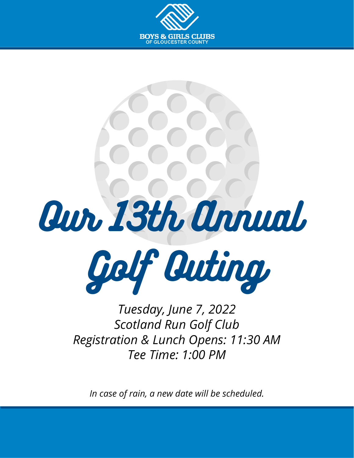





*Tuesday, June 7, 2022 Scotland Run Golf Club Registration & Lunch Opens: 11:30 AM Tee Time: 1:00 PM*

*In case of rain, a new date will be scheduled.*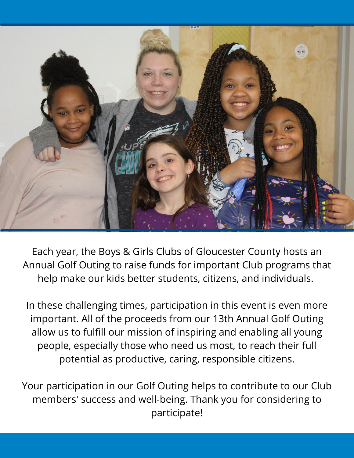

Each year, the Boys & Girls Clubs of Gloucester County hosts an Annual Golf Outing to raise funds for important Club programs that help make our kids better students, citizens, and individuals.

In these challenging times, participation in this event is even more important. All of the proceeds from our 13th Annual Golf Outing allow us to fulfill our mission of inspiring and enabling all young people, especially those who need us most, to reach their full potential as productive, caring, responsible citizens.

Your participation in our Golf Outing helps to contribute to our Club members' success and well-being. Thank you for considering to participate!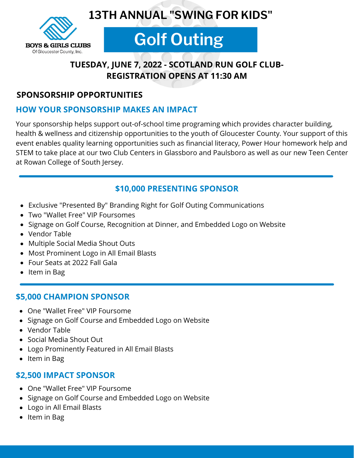



# **Golf Outing**

# **TUESDAY, JUNE 7, 2022 - SCOTLAND RUN GOLF CLUB-REGISTRATION OPENS AT 11:30 AM**

### **SPONSORSHIP OPPORTUNITIES**

### **HOW YOUR SPONSORSHIP MAKES AN IMPACT**

Your sponsorship helps support out-of-school time programing which provides character building, health & wellness and citizenship opportunities to the youth of Gloucester County. Your support of this event enables quality learning opportunities such as financial literacy, Power Hour homework help and STEM to take place at our two Club Centers in Glassboro and Paulsboro as well as our new Teen Center at Rowan College of South Jersey.

### **\$10,000 PRESENTING SPONSOR**

- Exclusive "Presented By" Branding Right for Golf Outing Communications
- Two "Wallet Free" VIP Foursomes
- Signage on Golf Course, Recognition at Dinner, and Embedded Logo on Website
- Vendor Table
- Multiple Social Media Shout Outs
- Most Prominent Logo in All Email Blasts
- Four Seats at 2022 Fall Gala
- $\bullet$  Item in Bag

### **\$5,000 CHAMPION SPONSOR**

- One "Wallet Free" VIP Foursome
- Signage on Golf Course and Embedded Logo on Website
- Vendor Table
- Social Media Shout Out
- Logo Prominently Featured in All Email Blasts
- Item in Bag

## **\$2,500 IMPACT SPONSOR**

- One "Wallet Free" VIP Foursome
- Signage on Golf Course and Embedded Logo on Website
- Logo in All Email Blasts
- Item in Bag